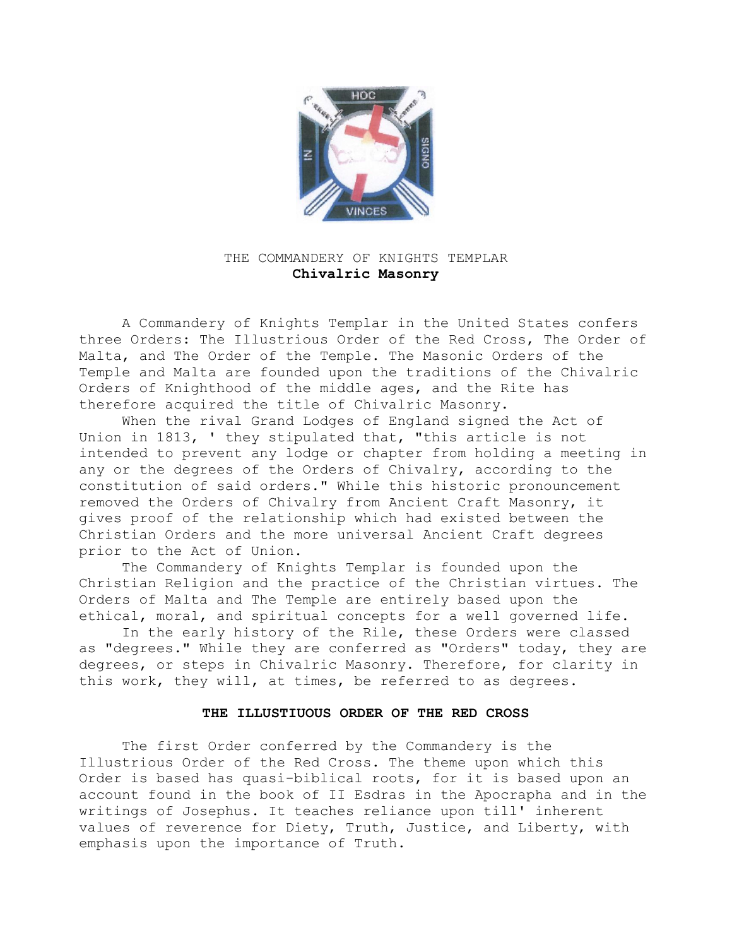

## THE COMMANDERY OF KNIGHTS TEMPLAR **Chivalric Masonry**

A Commandery of Knights Templar in the United States confers three Orders: The Illustrious Order of the Red Cross, The Order of Malta, and The Order of the Temple. The Masonic Orders of the Temple and Malta are founded upon the traditions of the Chivalric Orders of Knighthood of the middle ages, and the Rite has therefore acquired the title of Chivalric Masonry.

When the rival Grand Lodges of England signed the Act of Union in 1813, ' they stipulated that, "this article is not intended to prevent any lodge or chapter from holding a meeting in any or the degrees of the Orders of Chivalry, according to the constitution of said orders." While this historic pronouncement removed the Orders of Chivalry from Ancient Craft Masonry, it gives proof of the relationship which had existed between the Christian Orders and the more universal Ancient Craft degrees prior to the Act of Union.

The Commandery of Knights Templar is founded upon the Christian Religion and the practice of the Christian virtues. The Orders of Malta and The Temple are entirely based upon the ethical, moral, and spiritual concepts for a well governed life.

In the early history of the Rile, these Orders were classed as "degrees." While they are conferred as "Orders" today, they are degrees, or steps in Chivalric Masonry. Therefore, for clarity in this work, they will, at times, be referred to as degrees.

## **THE ILLUSTIUOUS ORDER OF THE RED CROSS**

The first Order conferred by the Commandery is the Illustrious Order of the Red Cross. The theme upon which this Order is based has quasi-biblical roots, for it is based upon an account found in the book of II Esdras in the Apocrapha and in the writings of Josephus. It teaches reliance upon till' inherent values of reverence for Diety, Truth, Justice, and Liberty, with emphasis upon the importance of Truth.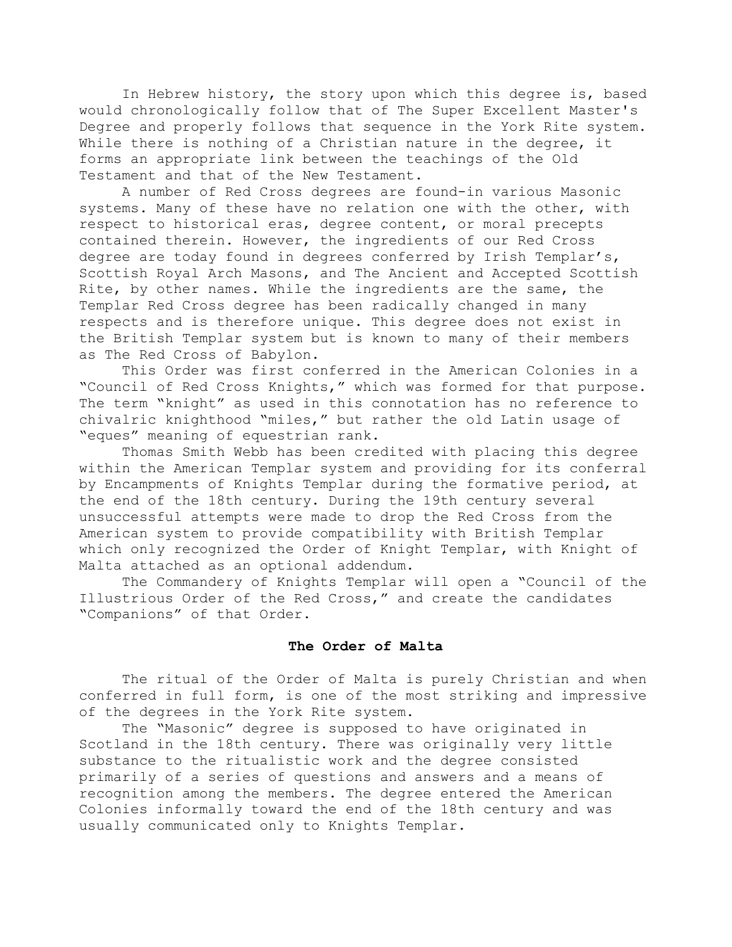In Hebrew history, the story upon which this degree is, based would chronologically follow that of The Super Excellent Master's Degree and properly follows that sequence in the York Rite system. While there is nothing of a Christian nature in the degree, it forms an appropriate link between the teachings of the Old Testament and that of the New Testament.

A number of Red Cross degrees are found-in various Masonic systems. Many of these have no relation one with the other, with respect to historical eras, degree content, or moral precepts contained therein. However, the ingredients of our Red Cross degree are today found in degrees conferred by Irish Templar's, Scottish Royal Arch Masons, and The Ancient and Accepted Scottish Rite, by other names. While the ingredients are the same, the Templar Red Cross degree has been radically changed in many respects and is therefore unique. This degree does not exist in the British Templar system but is known to many of their members as The Red Cross of Babylon.

This Order was first conferred in the American Colonies in a "Council of Red Cross Knights," which was formed for that purpose. The term "knight" as used in this connotation has no reference to chivalric knighthood "miles," but rather the old Latin usage of "eques" meaning of equestrian rank.

Thomas Smith Webb has been credited with placing this degree within the American Templar system and providing for its conferral by Encampments of Knights Templar during the formative period, at the end of the 18th century. During the 19th century several unsuccessful attempts were made to drop the Red Cross from the American system to provide compatibility with British Templar which only recognized the Order of Knight Templar, with Knight of Malta attached as an optional addendum.

The Commandery of Knights Templar will open a "Council of the Illustrious Order of the Red Cross," and create the candidates "Companions" of that Order.

## **The Order of Malta**

The ritual of the Order of Malta is purely Christian and when conferred in full form, is one of the most striking and impressive of the degrees in the York Rite system.

The "Masonic" degree is supposed to have originated in Scotland in the 18th century. There was originally very little substance to the ritualistic work and the degree consisted primarily of a series of questions and answers and a means of recognition among the members. The degree entered the American Colonies informally toward the end of the 18th century and was usually communicated only to Knights Templar.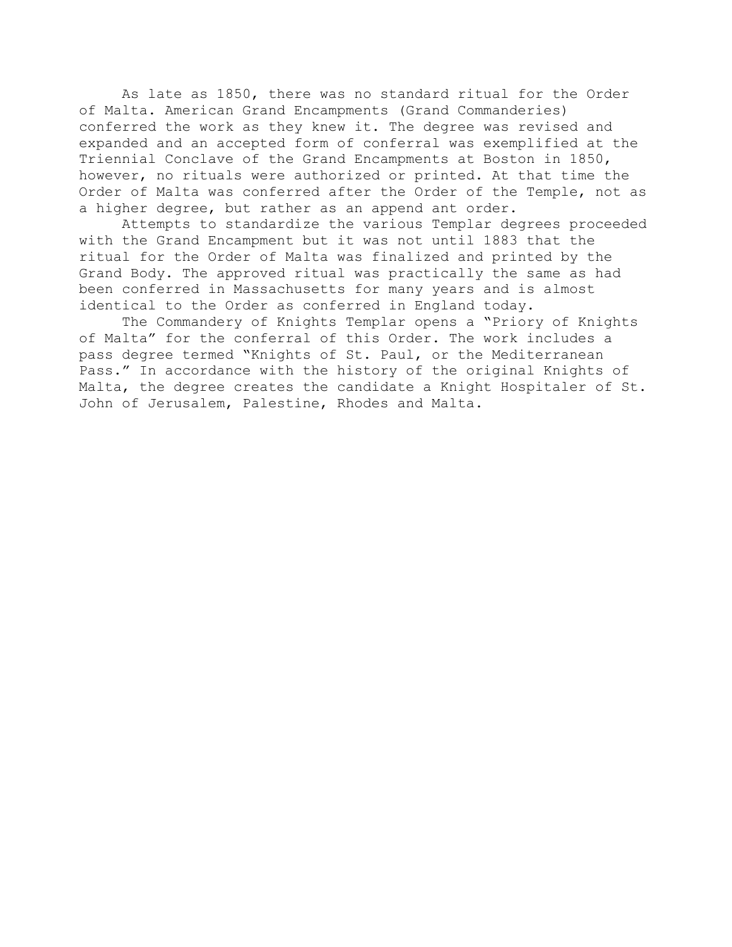As late as 1850, there was no standard ritual for the Order of Malta. American Grand Encampments (Grand Commanderies) conferred the work as they knew it. The degree was revised and expanded and an accepted form of conferral was exemplified at the Triennial Conclave of the Grand Encampments at Boston in 1850, however, no rituals were authorized or printed. At that time the Order of Malta was conferred after the Order of the Temple, not as a higher degree, but rather as an append ant order.

Attempts to standardize the various Templar degrees proceeded with the Grand Encampment but it was not until 1883 that the ritual for the Order of Malta was finalized and printed by the Grand Body. The approved ritual was practically the same as had been conferred in Massachusetts for many years and is almost identical to the Order as conferred in England today.

The Commandery of Knights Templar opens a "Priory of Knights of Malta" for the conferral of this Order. The work includes a pass degree termed "Knights of St. Paul, or the Mediterranean Pass." In accordance with the history of the original Knights of Malta, the degree creates the candidate a Knight Hospitaler of St. John of Jerusalem, Palestine, Rhodes and Malta.